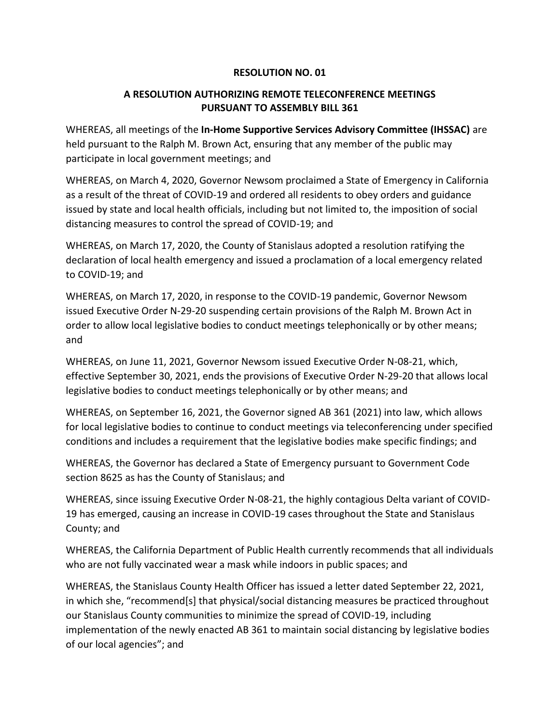## **RESOLUTION NO. 01**

## **A RESOLUTION AUTHORIZING REMOTE TELECONFERENCE MEETINGS PURSUANT TO ASSEMBLY BILL 361**

WHEREAS, all meetings of the **In-Home Supportive Services Advisory Committee (IHSSAC)** are held pursuant to the Ralph M. Brown Act, ensuring that any member of the public may participate in local government meetings; and

WHEREAS, on March 4, 2020, Governor Newsom proclaimed a State of Emergency in California as a result of the threat of COVID-19 and ordered all residents to obey orders and guidance issued by state and local health officials, including but not limited to, the imposition of social distancing measures to control the spread of COVID-19; and

WHEREAS, on March 17, 2020, the County of Stanislaus adopted a resolution ratifying the declaration of local health emergency and issued a proclamation of a local emergency related to COVID-19; and

WHEREAS, on March 17, 2020, in response to the COVID-19 pandemic, Governor Newsom issued Executive Order N-29-20 suspending certain provisions of the Ralph M. Brown Act in order to allow local legislative bodies to conduct meetings telephonically or by other means; and

WHEREAS, on June 11, 2021, Governor Newsom issued Executive Order N-08-21, which, effective September 30, 2021, ends the provisions of Executive Order N-29-20 that allows local legislative bodies to conduct meetings telephonically or by other means; and

WHEREAS, on September 16, 2021, the Governor signed AB 361 (2021) into law, which allows for local legislative bodies to continue to conduct meetings via teleconferencing under specified conditions and includes a requirement that the legislative bodies make specific findings; and

WHEREAS, the Governor has declared a State of Emergency pursuant to Government Code section 8625 as has the County of Stanislaus; and

WHEREAS, since issuing Executive Order N-08-21, the highly contagious Delta variant of COVID-19 has emerged, causing an increase in COVID-19 cases throughout the State and Stanislaus County; and

WHEREAS, the California Department of Public Health currently recommends that all individuals who are not fully vaccinated wear a mask while indoors in public spaces; and

WHEREAS, the Stanislaus County Health Officer has issued a letter dated September 22, 2021, in which she, "recommend[s] that physical/social distancing measures be practiced throughout our Stanislaus County communities to minimize the spread of COVID-19, including implementation of the newly enacted AB 361 to maintain social distancing by legislative bodies of our local agencies"; and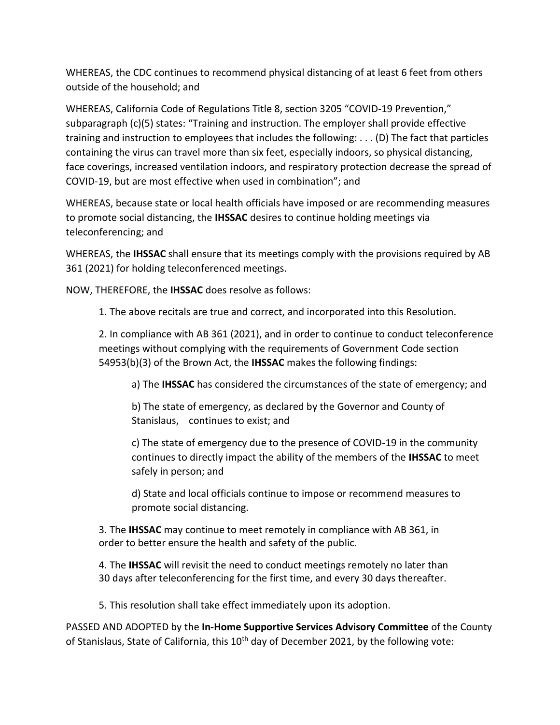WHEREAS, the CDC continues to recommend physical distancing of at least 6 feet from others outside of the household; and

WHEREAS, California Code of Regulations Title 8, section 3205 "COVID-19 Prevention," subparagraph (c)(5) states: "Training and instruction. The employer shall provide effective training and instruction to employees that includes the following: . . . (D) The fact that particles containing the virus can travel more than six feet, especially indoors, so physical distancing, face coverings, increased ventilation indoors, and respiratory protection decrease the spread of COVID-19, but are most effective when used in combination"; and

WHEREAS, because state or local health officials have imposed or are recommending measures to promote social distancing, the **IHSSAC** desires to continue holding meetings via teleconferencing; and

WHEREAS, the **IHSSAC** shall ensure that its meetings comply with the provisions required by AB 361 (2021) for holding teleconferenced meetings.

NOW, THEREFORE, the **IHSSAC** does resolve as follows:

1. The above recitals are true and correct, and incorporated into this Resolution.

2. In compliance with AB 361 (2021), and in order to continue to conduct teleconference meetings without complying with the requirements of Government Code section 54953(b)(3) of the Brown Act, the **IHSSAC** makes the following findings:

a) The **IHSSAC** has considered the circumstances of the state of emergency; and

b) The state of emergency, as declared by the Governor and County of Stanislaus, continues to exist; and

c) The state of emergency due to the presence of COVID-19 in the community continues to directly impact the ability of the members of the **IHSSAC** to meet safely in person; and

d) State and local officials continue to impose or recommend measures to promote social distancing.

3. The **IHSSAC** may continue to meet remotely in compliance with AB 361, in order to better ensure the health and safety of the public.

4. The **IHSSAC** will revisit the need to conduct meetings remotely no later than 30 days after teleconferencing for the first time, and every 30 days thereafter.

5. This resolution shall take effect immediately upon its adoption.

PASSED AND ADOPTED by the **In-Home Supportive Services Advisory Committee** of the County of Stanislaus, State of California, this  $10^{th}$  day of December 2021, by the following vote: